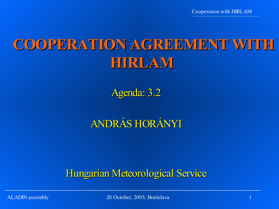Cooperation with HIRLAM

# **COOPERATION AGREEMENT WITH HIRLAM**

Agenda: 3.2

# ANDRÁS HORÁNYI

Hungarian Meteorological Service

ALADIN assembly 1.1 (1) 20 October, 2005, Bratislava 1.1 (1) 1.1 (1) 1.1 (1) 1.1 (1) 1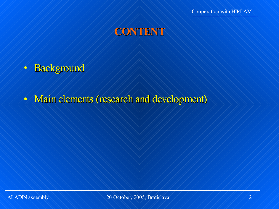

- Background
- Main elements (research and development)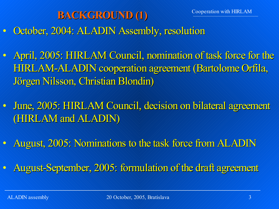# **BACKGROUND (1)** October, 2004: ALADIN Assembly, resolution

- April, 2005: HIRLAM Council, nomination of task force for the HIRLAM-ALADIN cooperation agreement (Bartolome Orfila, Jörgen Nilsson, Christian Blondin)
- June, 2005: HIRLAM Council, decision on bilateral agreement (HIRLAM and ALADIN)
- August, 2005: Nominations to the task force from ALADIN
- August-September, 2005: formulation of the draft agreement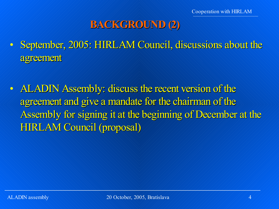# **BACKGROUND (2)**

- September, 2005: HIRLAM Council, discussions about the agreement
- ALADIN Assembly: discuss the recent version of the agreement and give a mandate for the chairman of the Assembly for signing it at the beginning of December at the HIRLAM Council (proposal)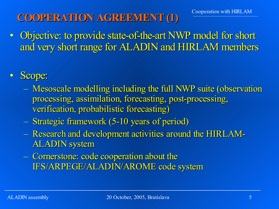# **COOPERATION AGREEMENT (1)**

• Objective: to provide state-of-the-art NWP model for short and very short range for ALADIN and HIRLAM members

#### • Scope:

- Mesoscale modelling including the full NWP suite (observation processing, assimilation, forecasting, post-processing, verification, probabilistic forecasting)
- Strategic framework (5-10 years of period)
- Research and development activities around the HIRLAM-ALADIN system
- Cornerstone: code cooperation about the IFS/ARPEGE/ALADIN/AROME code system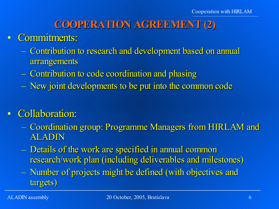## **COOPERATION AGREEMENT (2)**

#### • Commitments:

- Contribution to research and development based on annual arrangements
- Contribution to code coordination and phasing
- New joint developments to be put into the common code

## • Collaboration:

- Coordination group: Programme Managers from HIRLAM and ALADIN
- Details of the work are specified in annual common research/work plan (including deliverables and milestones)
- Number of projects might be defined (with objectives and targets)